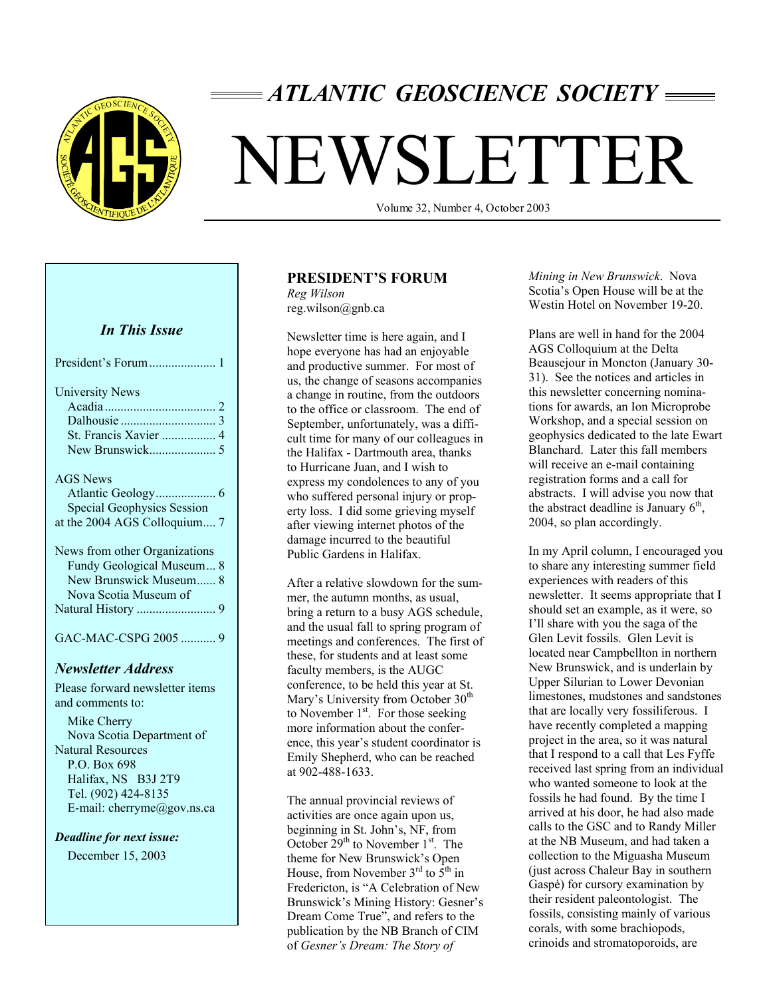

# *ATLANTIC GEOSCIENCE SOCIETY*

# NEWSLETTER

Volume 32, Number 4, October 2003

# *In This Issue*

| <b>University News</b><br>St. Francis Xavier  4                                                               |
|---------------------------------------------------------------------------------------------------------------|
| AGS News<br><b>Special Geophysics Session</b><br>at the 2004 AGS Colloquium 7                                 |
| News from other Organizations<br>Fundy Geological Museum 8<br>New Brunswick Museum 8<br>Nova Scotia Museum of |
| GAC-MAC-CSPG 2005  9                                                                                          |

#### *Newsletter Address*

Please forward newsletter items and comments to: Mike Cherry Nova Scotia Department of Natural Resources P.O. Box 698 Halifax, NS B3J 2T9 Tel. (902) 424-8135 E-mail: cherryme@gov.ns.ca

#### *Deadline for next issue:*

December 15, 2003

# **PRESIDENT'S FORUM**

*Reg Wilson*  reg.wilson@gnb.ca

Newsletter time is here again, and I hope everyone has had an enjoyable and productive summer. For most of us, the change of seasons accompanies a change in routine, from the outdoors to the office or classroom. The end of September, unfortunately, was a difficult time for many of our colleagues in the Halifax - Dartmouth area, thanks to Hurricane Juan, and I wish to express my condolences to any of you who suffered personal injury or property loss. I did some grieving myself after viewing internet photos of the damage incurred to the beautiful Public Gardens in Halifax.

After a relative slowdown for the summer, the autumn months, as usual, bring a return to a busy AGS schedule, and the usual fall to spring program of meetings and conferences. The first of these, for students and at least some faculty members, is the AUGC conference, to be held this year at St. Mary's University from October 30<sup>th</sup> to November  $1<sup>st</sup>$ . For those seeking more information about the conference, this year's student coordinator is Emily Shepherd, who can be reached at 902-488-1633.

The annual provincial reviews of activities are once again upon us, beginning in St. John's, NF, from October  $29<sup>th</sup>$  to November  $1<sup>st</sup>$ . The theme for New Brunswick's Open House, from November  $3^{rd}$  to  $5^{th}$  in Fredericton, is "A Celebration of New Brunswick's Mining History: Gesner's Dream Come True", and refers to the publication by the NB Branch of CIM of *Gesner's Dream: The Story of* 

*Mining in New Brunswick*. Nova Scotia's Open House will be at the Westin Hotel on November 19-20.

Plans are well in hand for the 2004 AGS Colloquium at the Delta Beausejour in Moncton (January 30- 31). See the notices and articles in this newsletter concerning nominations for awards, an Ion Microprobe Workshop, and a special session on geophysics dedicated to the late Ewart Blanchard. Later this fall members will receive an e-mail containing registration forms and a call for abstracts. I will advise you now that the abstract deadline is January  $6<sup>th</sup>$ , 2004, so plan accordingly.

In my April column, I encouraged you to share any interesting summer field experiences with readers of this newsletter. It seems appropriate that I should set an example, as it were, so I'll share with you the saga of the Glen Levit fossils. Glen Levit is located near Campbellton in northern New Brunswick, and is underlain by Upper Silurian to Lower Devonian limestones, mudstones and sandstones that are locally very fossiliferous. I have recently completed a mapping project in the area, so it was natural that I respond to a call that Les Fyffe received last spring from an individual who wanted someone to look at the fossils he had found. By the time I arrived at his door, he had also made calls to the GSC and to Randy Miller at the NB Museum, and had taken a collection to the Miguasha Museum (just across Chaleur Bay in southern Gaspé) for cursory examination by their resident paleontologist. The fossils, consisting mainly of various corals, with some brachiopods, crinoids and stromatoporoids, are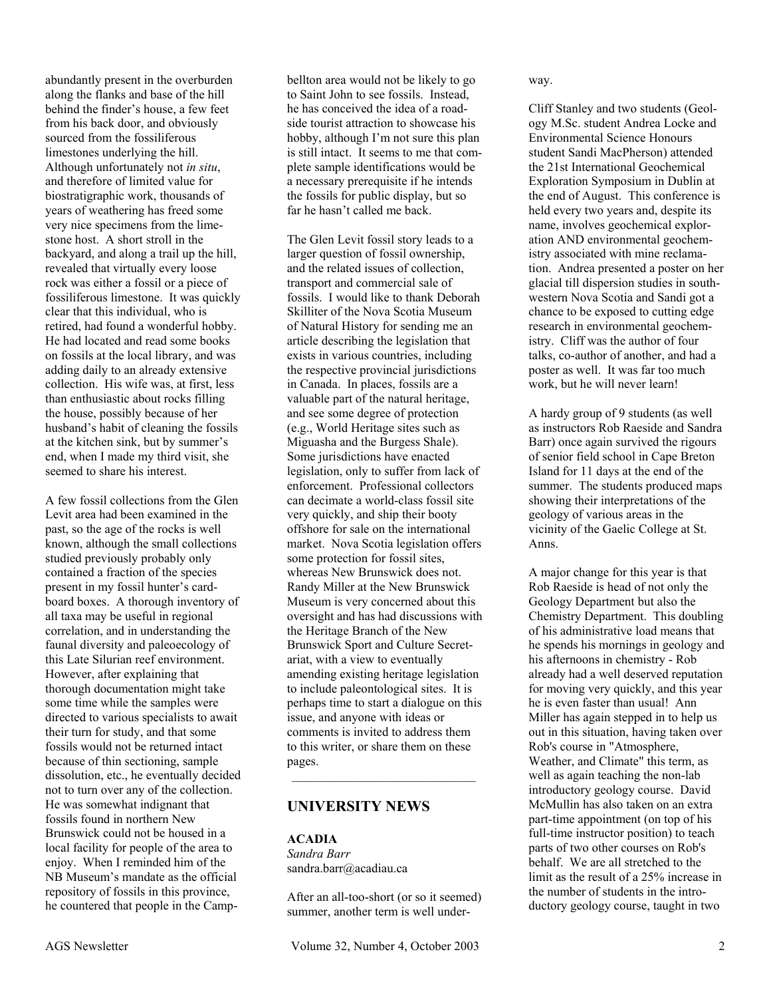abundantly present in the overburden along the flanks and base of the hill behind the finder's house, a few feet from his back door, and obviously sourced from the fossiliferous limestones underlying the hill. Although unfortunately not *in situ*, and therefore of limited value for biostratigraphic work, thousands of years of weathering has freed some very nice specimens from the limestone host. A short stroll in the backyard, and along a trail up the hill, revealed that virtually every loose rock was either a fossil or a piece of fossiliferous limestone. It was quickly clear that this individual, who is retired, had found a wonderful hobby. He had located and read some books on fossils at the local library, and was adding daily to an already extensive collection. His wife was, at first, less than enthusiastic about rocks filling the house, possibly because of her husband's habit of cleaning the fossils at the kitchen sink, but by summer's end, when I made my third visit, she seemed to share his interest.

A few fossil collections from the Glen Levit area had been examined in the past, so the age of the rocks is well known, although the small collections studied previously probably only contained a fraction of the species present in my fossil hunter's cardboard boxes. A thorough inventory of all taxa may be useful in regional correlation, and in understanding the faunal diversity and paleoecology of this Late Silurian reef environment. However, after explaining that thorough documentation might take some time while the samples were directed to various specialists to await their turn for study, and that some fossils would not be returned intact because of thin sectioning, sample dissolution, etc., he eventually decided not to turn over any of the collection. He was somewhat indignant that fossils found in northern New Brunswick could not be housed in a local facility for people of the area to enjoy. When I reminded him of the NB Museum's mandate as the official repository of fossils in this province, he countered that people in the Camp-

bellton area would not be likely to go to Saint John to see fossils. Instead, he has conceived the idea of a roadside tourist attraction to showcase his hobby, although I'm not sure this plan is still intact. It seems to me that complete sample identifications would be a necessary prerequisite if he intends the fossils for public display, but so far he hasn't called me back.

The Glen Levit fossil story leads to a larger question of fossil ownership, and the related issues of collection, transport and commercial sale of fossils. I would like to thank Deborah Skilliter of the Nova Scotia Museum of Natural History for sending me an article describing the legislation that exists in various countries, including the respective provincial jurisdictions in Canada. In places, fossils are a valuable part of the natural heritage, and see some degree of protection (e.g., World Heritage sites such as Miguasha and the Burgess Shale). Some jurisdictions have enacted legislation, only to suffer from lack of enforcement. Professional collectors can decimate a world-class fossil site very quickly, and ship their booty offshore for sale on the international market. Nova Scotia legislation offers some protection for fossil sites, whereas New Brunswick does not. Randy Miller at the New Brunswick Museum is very concerned about this oversight and has had discussions with the Heritage Branch of the New Brunswick Sport and Culture Secretariat, with a view to eventually amending existing heritage legislation to include paleontological sites. It is perhaps time to start a dialogue on this issue, and anyone with ideas or comments is invited to address them to this writer, or share them on these pages.  $\mathcal{L}_\text{max}$  , and the set of the set of the set of the set of the set of the set of the set of the set of the set of the set of the set of the set of the set of the set of the set of the set of the set of the set of the

# **UNIVERSITY NEWS**

#### **ACADIA**  *Sandra Barr*  sandra.barr@acadiau.ca

After an all-too-short (or so it seemed) summer, another term is well underway.

Cliff Stanley and two students (Geology M.Sc. student Andrea Locke and Environmental Science Honours student Sandi MacPherson) attended the 21st International Geochemical Exploration Symposium in Dublin at the end of August. This conference is held every two years and, despite its name, involves geochemical exploration AND environmental geochemistry associated with mine reclamation. Andrea presented a poster on her glacial till dispersion studies in southwestern Nova Scotia and Sandi got a chance to be exposed to cutting edge research in environmental geochemistry. Cliff was the author of four talks, co-author of another, and had a poster as well. It was far too much work, but he will never learn!

A hardy group of 9 students (as well as instructors Rob Raeside and Sandra Barr) once again survived the rigours of senior field school in Cape Breton Island for 11 days at the end of the summer. The students produced maps showing their interpretations of the geology of various areas in the vicinity of the Gaelic College at St. Anns.

A major change for this year is that Rob Raeside is head of not only the Geology Department but also the Chemistry Department. This doubling of his administrative load means that he spends his mornings in geology and his afternoons in chemistry - Rob already had a well deserved reputation for moving very quickly, and this year he is even faster than usual! Ann Miller has again stepped in to help us out in this situation, having taken over Rob's course in "Atmosphere, Weather, and Climate" this term, as well as again teaching the non-lab introductory geology course. David McMullin has also taken on an extra part-time appointment (on top of his full-time instructor position) to teach parts of two other courses on Rob's behalf. We are all stretched to the limit as the result of a 25% increase in the number of students in the introductory geology course, taught in two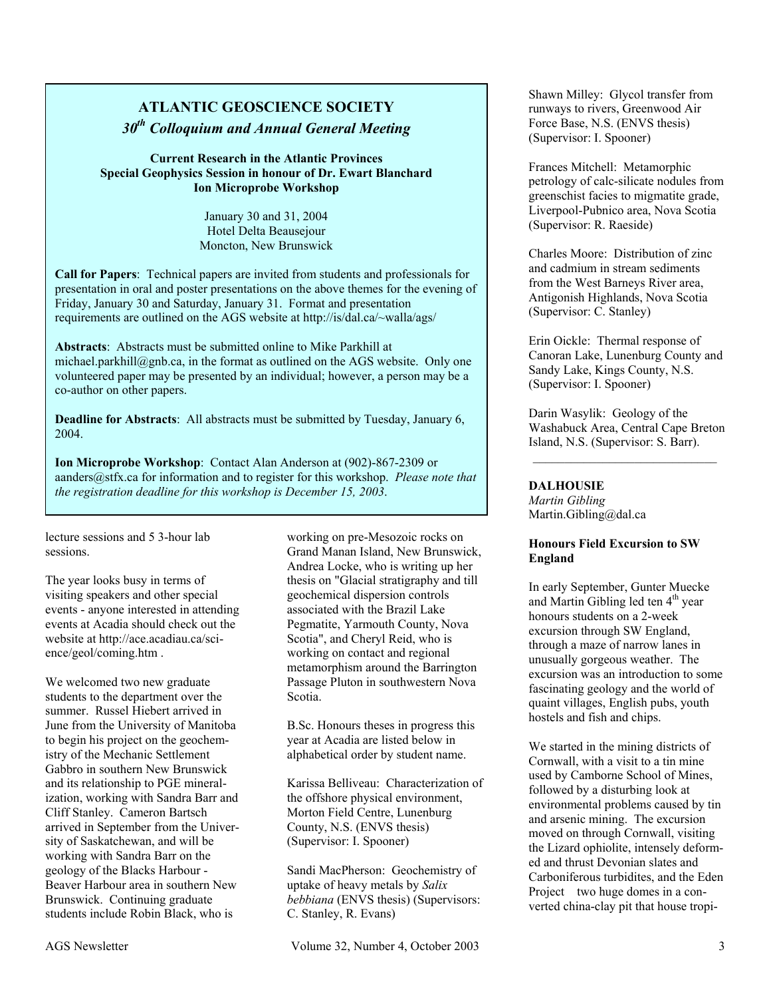# **ATLANTIC GEOSCIENCE SOCIETY**  *30th Colloquium and Annual General Meeting*

**Current Research in the Atlantic Provinces Special Geophysics Session in honour of Dr. Ewart Blanchard Ion Microprobe Workshop** 

> January 30 and 31, 2004 Hotel Delta Beausejour Moncton, New Brunswick

**Call for Papers**: Technical papers are invited from students and professionals for presentation in oral and poster presentations on the above themes for the evening of Friday, January 30 and Saturday, January 31. Format and presentation requirements are outlined on the AGS website at http://is/dal.ca/~walla/ags/

**Abstracts**: Abstracts must be submitted online to Mike Parkhill at michael.parkhill@gnb.ca, in the format as outlined on the AGS website. Only one volunteered paper may be presented by an individual; however, a person may be a co-author on other papers.

**Deadline for Abstracts**: All abstracts must be submitted by Tuesday, January 6, 2004.

**Ion Microprobe Workshop**: Contact Alan Anderson at (902)-867-2309 or aanders@stfx.ca for information and to register for this workshop. *Please note that the registration deadline for this workshop is December 15, 2003*.

lecture sessions and 5 3-hour lab sessions.

The year looks busy in terms of visiting speakers and other special events - anyone interested in attending events at Acadia should check out the website at http://ace.acadiau.ca/science/geol/coming.htm .

We welcomed two new graduate students to the department over the summer. Russel Hiebert arrived in June from the University of Manitoba to begin his project on the geochemistry of the Mechanic Settlement Gabbro in southern New Brunswick and its relationship to PGE mineralization, working with Sandra Barr and Cliff Stanley. Cameron Bartsch arrived in September from the University of Saskatchewan, and will be working with Sandra Barr on the geology of the Blacks Harbour - Beaver Harbour area in southern New Brunswick. Continuing graduate students include Robin Black, who is

working on pre-Mesozoic rocks on Grand Manan Island, New Brunswick, Andrea Locke, who is writing up her thesis on "Glacial stratigraphy and till geochemical dispersion controls associated with the Brazil Lake Pegmatite, Yarmouth County, Nova Scotia", and Cheryl Reid, who is working on contact and regional metamorphism around the Barrington Passage Pluton in southwestern Nova Scotia.

B.Sc. Honours theses in progress this year at Acadia are listed below in alphabetical order by student name.

Karissa Belliveau: Characterization of the offshore physical environment, Morton Field Centre, Lunenburg County, N.S. (ENVS thesis) (Supervisor: I. Spooner)

Sandi MacPherson: Geochemistry of uptake of heavy metals by *Salix bebbiana* (ENVS thesis) (Supervisors: C. Stanley, R. Evans)

Frances Mitchell: Metamorphic petrology of calc-silicate nodules from greenschist facies to migmatite grade, Liverpool-Pubnico area, Nova Scotia (Supervisor: R. Raeside)

Charles Moore: Distribution of zinc and cadmium in stream sediments from the West Barneys River area, Antigonish Highlands, Nova Scotia (Supervisor: C. Stanley)

Erin Oickle: Thermal response of Canoran Lake, Lunenburg County and Sandy Lake, Kings County, N.S. (Supervisor: I. Spooner)

Darin Wasylik: Geology of the Washabuck Area, Central Cape Breton Island, N.S. (Supervisor: S. Barr).

#### **DALHOUSIE**

*Martin Gibling*  Martin.Gibling@dal.ca

#### **Honours Field Excursion to SW England**

In early September, Gunter Muecke and Martin Gibling led ten  $4<sup>th</sup>$  year honours students on a 2-week excursion through SW England, through a maze of narrow lanes in unusually gorgeous weather. The excursion was an introduction to some fascinating geology and the world of quaint villages, English pubs, youth hostels and fish and chips.

We started in the mining districts of Cornwall, with a visit to a tin mine used by Camborne School of Mines, followed by a disturbing look at environmental problems caused by tin and arsenic mining. The excursion moved on through Cornwall, visiting the Lizard ophiolite, intensely deformed and thrust Devonian slates and Carboniferous turbidites, and the Eden Project two huge domes in a converted china-clay pit that house tropi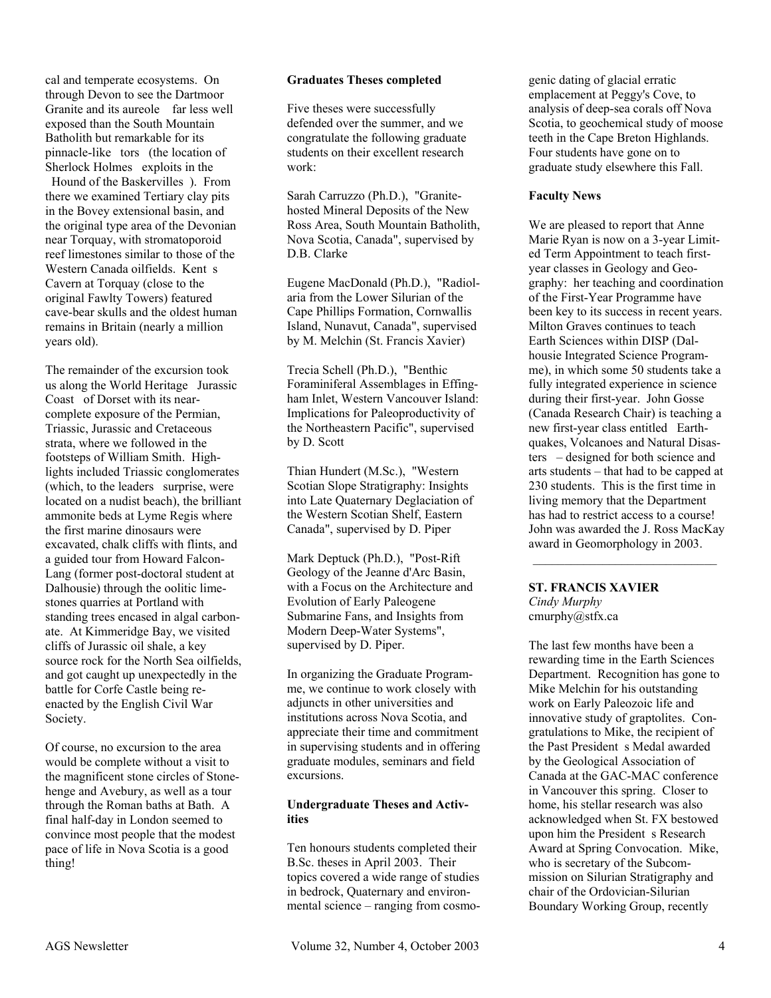cal and temperate ecosystems. On through Devon to see the Dartmoor Granite and its aureole far less well exposed than the South Mountain Batholith but remarkable for its pinnacle-like tors (the location of Sherlock Holmes exploits in the

Hound of the Baskervilles). From there we examined Tertiary clay pits in the Bovey extensional basin, and the original type area of the Devonian near Torquay, with stromatoporoid reef limestones similar to those of the Western Canada oilfields. Kent s Cavern at Torquay (close to the original Fawlty Towers) featured cave-bear skulls and the oldest human remains in Britain (nearly a million years old).

The remainder of the excursion took us along the World Heritage Jurassic Coast of Dorset with its nearcomplete exposure of the Permian, Triassic, Jurassic and Cretaceous strata, where we followed in the footsteps of William Smith. Highlights included Triassic conglomerates (which, to the leaders surprise, were located on a nudist beach), the brilliant ammonite beds at Lyme Regis where the first marine dinosaurs were excavated, chalk cliffs with flints, and a guided tour from Howard Falcon-Lang (former post-doctoral student at Dalhousie) through the oolitic limestones quarries at Portland with standing trees encased in algal carbonate. At Kimmeridge Bay, we visited cliffs of Jurassic oil shale, a key source rock for the North Sea oilfields, and got caught up unexpectedly in the battle for Corfe Castle being reenacted by the English Civil War Society.

Of course, no excursion to the area would be complete without a visit to the magnificent stone circles of Stonehenge and Avebury, as well as a tour through the Roman baths at Bath. A final half-day in London seemed to convince most people that the modest pace of life in Nova Scotia is a good thing!

#### **Graduates Theses completed**

Five theses were successfully defended over the summer, and we congratulate the following graduate students on their excellent research work:

Sarah Carruzzo (Ph.D.), "Granitehosted Mineral Deposits of the New Ross Area, South Mountain Batholith, Nova Scotia, Canada", supervised by D.B. Clarke

Eugene MacDonald (Ph.D.), "Radiolaria from the Lower Silurian of the Cape Phillips Formation, Cornwallis Island, Nunavut, Canada", supervised by M. Melchin (St. Francis Xavier)

Trecia Schell (Ph.D.), "Benthic Foraminiferal Assemblages in Effingham Inlet, Western Vancouver Island: Implications for Paleoproductivity of the Northeastern Pacific", supervised by D. Scott

Thian Hundert (M.Sc.), "Western Scotian Slope Stratigraphy: Insights into Late Quaternary Deglaciation of the Western Scotian Shelf, Eastern Canada", supervised by D. Piper

Mark Deptuck (Ph.D.), "Post-Rift Geology of the Jeanne d'Arc Basin, with a Focus on the Architecture and Evolution of Early Paleogene Submarine Fans, and Insights from Modern Deep-Water Systems", supervised by D. Piper.

In organizing the Graduate Programme, we continue to work closely with adjuncts in other universities and institutions across Nova Scotia, and appreciate their time and commitment in supervising students and in offering graduate modules, seminars and field excursions.

#### **Undergraduate Theses and Activities**

Ten honours students completed their B.Sc. theses in April 2003. Their topics covered a wide range of studies in bedrock, Quaternary and environmental science – ranging from cosmogenic dating of glacial erratic emplacement at Peggy's Cove, to analysis of deep-sea corals off Nova Scotia, to geochemical study of moose teeth in the Cape Breton Highlands. Four students have gone on to graduate study elsewhere this Fall.

#### **Faculty News**

We are pleased to report that Anne Marie Ryan is now on a 3-year Limited Term Appointment to teach firstyear classes in Geology and Geography: her teaching and coordination of the First-Year Programme have been key to its success in recent years. Milton Graves continues to teach Earth Sciences within DISP (Dalhousie Integrated Science Programme), in which some 50 students take a fully integrated experience in science during their first-year. John Gosse (Canada Research Chair) is teaching a new first-year class entitled Earthquakes, Volcanoes and Natural Disasters – designed for both science and arts students – that had to be capped at 230 students. This is the first time in living memory that the Department has had to restrict access to a course! John was awarded the J. Ross MacKay award in Geomorphology in 2003.  $\mathcal{L}_\text{max}$ 

#### **ST. FRANCIS XAVIER**  *Cindy Murphy*  cmurphy@stfx.ca

The last few months have been a rewarding time in the Earth Sciences Department. Recognition has gone to Mike Melchin for his outstanding work on Early Paleozoic life and innovative study of graptolites. Congratulations to Mike, the recipient of the Past President s Medal awarded by the Geological Association of Canada at the GAC-MAC conference in Vancouver this spring. Closer to home, his stellar research was also acknowledged when St. FX bestowed upon him the President s Research Award at Spring Convocation. Mike, who is secretary of the Subcommission on Silurian Stratigraphy and chair of the Ordovician-Silurian Boundary Working Group, recently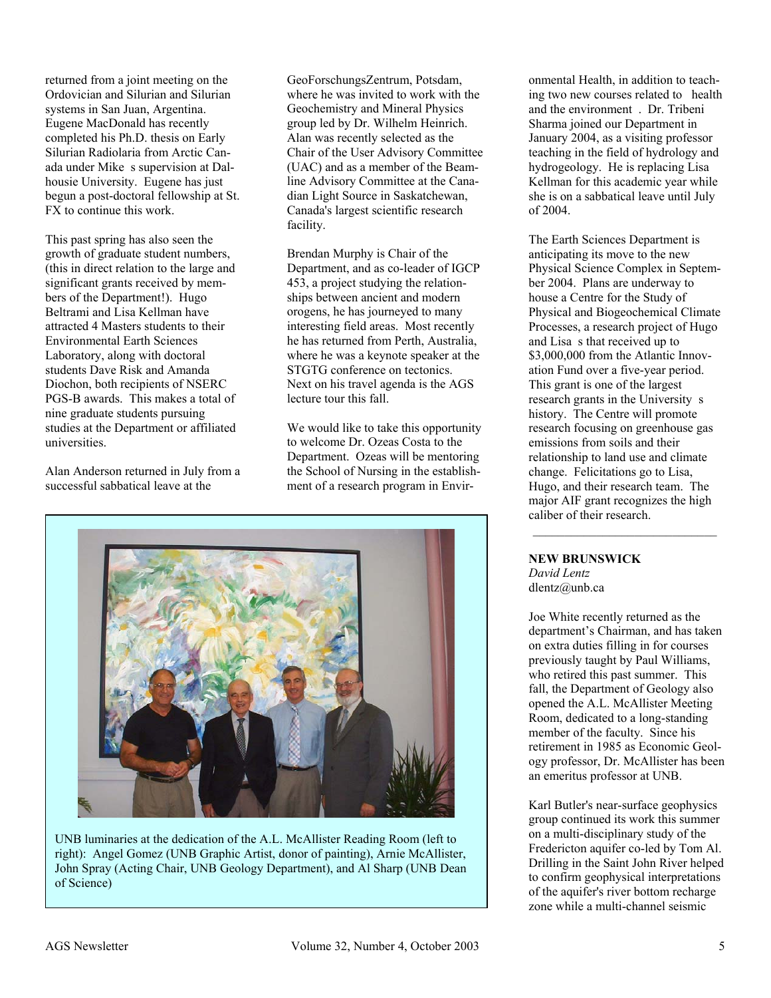returned from a joint meeting on the Ordovician and Silurian and Silurian systems in San Juan, Argentina. Eugene MacDonald has recently completed his Ph.D. thesis on Early Silurian Radiolaria from Arctic Canada under Mike s supervision at Dalhousie University. Eugene has just begun a post-doctoral fellowship at St. FX to continue this work.

This past spring has also seen the growth of graduate student numbers, (this in direct relation to the large and significant grants received by members of the Department!). Hugo Beltrami and Lisa Kellman have attracted 4 Masters students to their Environmental Earth Sciences Laboratory, along with doctoral students Dave Risk and Amanda Diochon, both recipients of NSERC PGS-B awards. This makes a total of nine graduate students pursuing studies at the Department or affiliated universities.

Alan Anderson returned in July from a successful sabbatical leave at the

GeoForschungsZentrum, Potsdam, where he was invited to work with the Geochemistry and Mineral Physics group led by Dr. Wilhelm Heinrich. Alan was recently selected as the Chair of the User Advisory Committee (UAC) and as a member of the Beamline Advisory Committee at the Canadian Light Source in Saskatchewan, Canada's largest scientific research facility.

Brendan Murphy is Chair of the Department, and as co-leader of IGCP 453, a project studying the relationships between ancient and modern orogens, he has journeyed to many interesting field areas. Most recently he has returned from Perth, Australia, where he was a keynote speaker at the STGTG conference on tectonics. Next on his travel agenda is the AGS lecture tour this fall.

We would like to take this opportunity to welcome Dr. Ozeas Costa to the Department. Ozeas will be mentoring the School of Nursing in the establishment of a research program in Envir-



UNB luminaries at the dedication of the A.L. McAllister Reading Room (left to right): Angel Gomez (UNB Graphic Artist, donor of painting), Arnie McAllister, John Spray (Acting Chair, UNB Geology Department), and Al Sharp (UNB Dean of Science)

onmental Health, in addition to teaching two new courses related to health and the environment. Dr. Tribeni Sharma joined our Department in January 2004, as a visiting professor teaching in the field of hydrology and hydrogeology. He is replacing Lisa Kellman for this academic year while she is on a sabbatical leave until July of 2004.

The Earth Sciences Department is anticipating its move to the new Physical Science Complex in September 2004. Plans are underway to house a Centre for the Study of Physical and Biogeochemical Climate Processes, a research project of Hugo and Lisa s that received up to \$3,000,000 from the Atlantic Innovation Fund over a five-year period. This grant is one of the largest research grants in the University s history. The Centre will promote research focusing on greenhouse gas emissions from soils and their relationship to land use and climate change. Felicitations go to Lisa, Hugo, and their research team. The major AIF grant recognizes the high caliber of their research.

#### **NEW BRUNSWICK**

*David Lentz*  dlentz@unb.ca

Joe White recently returned as the department's Chairman, and has taken on extra duties filling in for courses previously taught by Paul Williams, who retired this past summer. This fall, the Department of Geology also opened the A.L. McAllister Meeting Room, dedicated to a long-standing member of the faculty. Since his retirement in 1985 as Economic Geology professor, Dr. McAllister has been an emeritus professor at UNB.

Karl Butler's near-surface geophysics group continued its work this summer on a multi-disciplinary study of the Fredericton aquifer co-led by Tom Al. Drilling in the Saint John River helped to confirm geophysical interpretations of the aquifer's river bottom recharge zone while a multi-channel seismic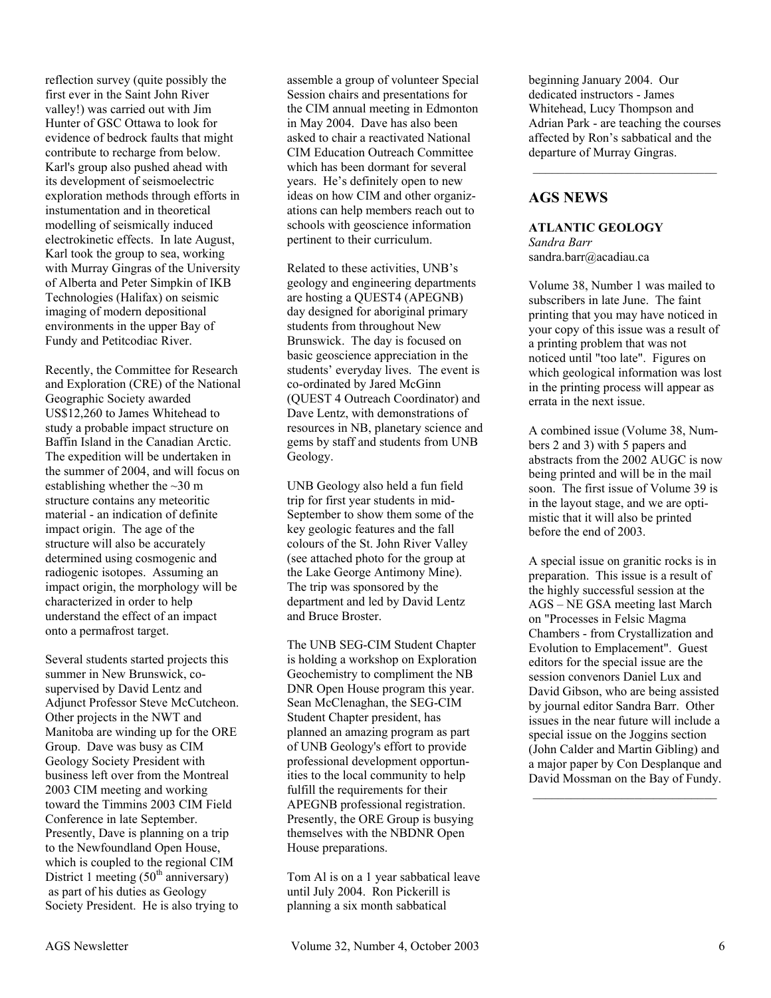reflection survey (quite possibly the first ever in the Saint John River valley!) was carried out with Jim Hunter of GSC Ottawa to look for evidence of bedrock faults that might contribute to recharge from below. Karl's group also pushed ahead with its development of seismoelectric exploration methods through efforts in instumentation and in theoretical modelling of seismically induced electrokinetic effects. In late August, Karl took the group to sea, working with Murray Gingras of the University of Alberta and Peter Simpkin of IKB Technologies (Halifax) on seismic imaging of modern depositional environments in the upper Bay of Fundy and Petitcodiac River.

Recently, the Committee for Research and Exploration (CRE) of the National Geographic Society awarded US\$12,260 to James Whitehead to study a probable impact structure on Baffin Island in the Canadian Arctic. The expedition will be undertaken in the summer of 2004, and will focus on establishing whether the  $\sim$ 30 m structure contains any meteoritic material - an indication of definite impact origin. The age of the structure will also be accurately determined using cosmogenic and radiogenic isotopes. Assuming an impact origin, the morphology will be characterized in order to help understand the effect of an impact onto a permafrost target.

Several students started projects this summer in New Brunswick, cosupervised by David Lentz and Adjunct Professor Steve McCutcheon. Other projects in the NWT and Manitoba are winding up for the ORE Group. Dave was busy as CIM Geology Society President with business left over from the Montreal 2003 CIM meeting and working toward the Timmins 2003 CIM Field Conference in late September. Presently, Dave is planning on a trip to the Newfoundland Open House, which is coupled to the regional CIM District 1 meeting  $(50<sup>th</sup>$  anniversary) as part of his duties as Geology Society President. He is also trying to

assemble a group of volunteer Special Session chairs and presentations for the CIM annual meeting in Edmonton in May 2004. Dave has also been asked to chair a reactivated National CIM Education Outreach Committee which has been dormant for several years. He's definitely open to new ideas on how CIM and other organizations can help members reach out to schools with geoscience information pertinent to their curriculum.

Related to these activities, UNB's geology and engineering departments are hosting a QUEST4 (APEGNB) day designed for aboriginal primary students from throughout New Brunswick. The day is focused on basic geoscience appreciation in the students' everyday lives. The event is co-ordinated by Jared McGinn (QUEST 4 Outreach Coordinator) and Dave Lentz, with demonstrations of resources in NB, planetary science and gems by staff and students from UNB Geology.

UNB Geology also held a fun field trip for first year students in mid-September to show them some of the key geologic features and the fall colours of the St. John River Valley (see attached photo for the group at the Lake George Antimony Mine). The trip was sponsored by the department and led by David Lentz and Bruce Broster.

The UNB SEG-CIM Student Chapter is holding a workshop on Exploration Geochemistry to compliment the NB DNR Open House program this year. Sean McClenaghan, the SEG-CIM Student Chapter president, has planned an amazing program as part of UNB Geology's effort to provide professional development opportunities to the local community to help fulfill the requirements for their APEGNB professional registration. Presently, the ORE Group is busying themselves with the NBDNR Open House preparations.

Tom Al is on a 1 year sabbatical leave until July 2004. Ron Pickerill is planning a six month sabbatical

beginning January 2004. Our dedicated instructors - James Whitehead, Lucy Thompson and Adrian Park - are teaching the courses affected by Ron's sabbatical and the departure of Murray Gingras.

\_\_\_\_\_\_\_\_\_\_\_\_\_\_\_\_\_\_\_\_\_\_\_\_\_\_\_\_\_

# **AGS NEWS**

**ATLANTIC GEOLOGY** *Sandra Barr*  sandra.barr@acadiau.ca

Volume 38, Number 1 was mailed to subscribers in late June. The faint printing that you may have noticed in your copy of this issue was a result of a printing problem that was not noticed until "too late". Figures on which geological information was lost in the printing process will appear as errata in the next issue.

A combined issue (Volume 38, Numbers 2 and 3) with 5 papers and abstracts from the 2002 AUGC is now being printed and will be in the mail soon. The first issue of Volume 39 is in the layout stage, and we are optimistic that it will also be printed before the end of 2003.

A special issue on granitic rocks is in preparation. This issue is a result of the highly successful session at the AGS – NE GSA meeting last March on "Processes in Felsic Magma Chambers - from Crystallization and Evolution to Emplacement". Guest editors for the special issue are the session convenors Daniel Lux and David Gibson, who are being assisted by journal editor Sandra Barr. Other issues in the near future will include a special issue on the Joggins section (John Calder and Martin Gibling) and a major paper by Con Desplanque and David Mossman on the Bay of Fundy.

 $\mathcal{L}_\text{max}$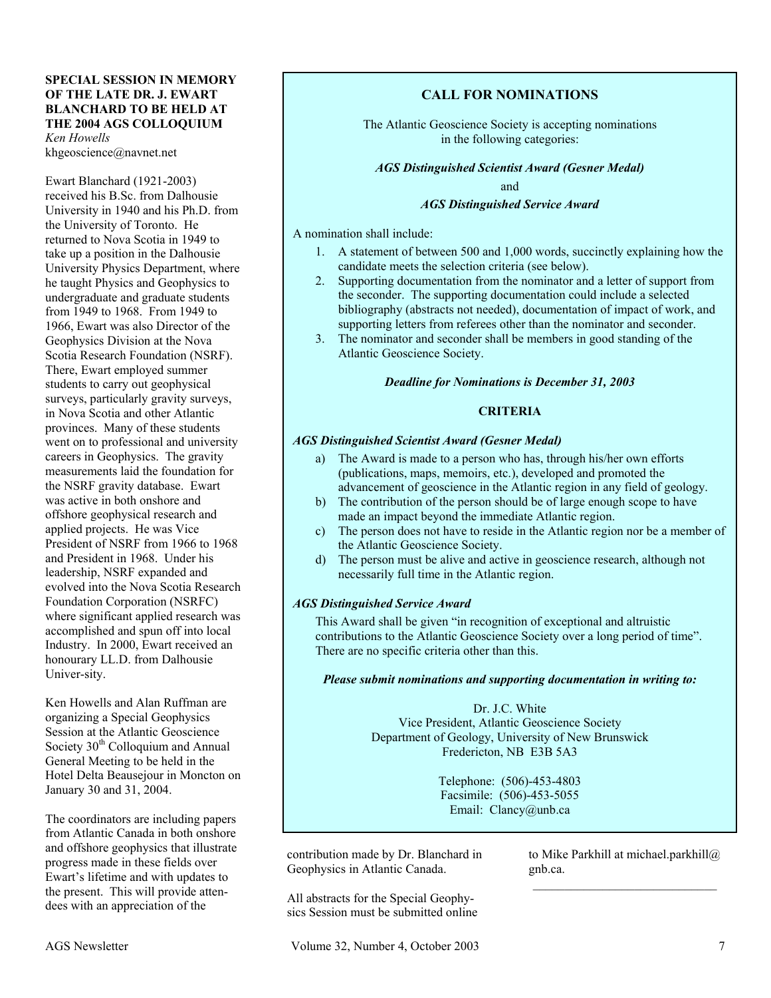#### **SPECIAL SESSION IN MEMORY OF THE LATE DR. J. EWART BLANCHARD TO BE HELD AT THE 2004 AGS COLLOQUIUM**  *Ken Howells*

khgeoscience@navnet.net

Ewart Blanchard (1921-2003) received his B.Sc. from Dalhousie University in 1940 and his Ph.D. from the University of Toronto. He returned to Nova Scotia in 1949 to take up a position in the Dalhousie University Physics Department, where he taught Physics and Geophysics to undergraduate and graduate students from 1949 to 1968. From 1949 to 1966, Ewart was also Director of the Geophysics Division at the Nova Scotia Research Foundation (NSRF). There, Ewart employed summer students to carry out geophysical surveys, particularly gravity surveys, in Nova Scotia and other Atlantic provinces. Many of these students went on to professional and university careers in Geophysics. The gravity measurements laid the foundation for the NSRF gravity database. Ewart was active in both onshore and offshore geophysical research and applied projects. He was Vice President of NSRF from 1966 to 1968 and President in 1968. Under his leadership, NSRF expanded and evolved into the Nova Scotia Research Foundation Corporation (NSRFC) where significant applied research was accomplished and spun off into local Industry. In 2000, Ewart received an honourary LL.D. from Dalhousie Univer-sity.

Ken Howells and Alan Ruffman are organizing a Special Geophysics Session at the Atlantic Geoscience Society  $30<sup>th</sup>$  Colloquium and Annual General Meeting to be held in the Hotel Delta Beausejour in Moncton on January 30 and 31, 2004.

The coordinators are including papers from Atlantic Canada in both onshore and offshore geophysics that illustrate progress made in these fields over Ewart's lifetime and with updates to the present. This will provide attendees with an appreciation of the

# **CALL FOR NOMINATIONS**

The Atlantic Geoscience Society is accepting nominations in the following categories:

#### *AGS Distinguished Scientist Award (Gesner Medal)*

and

#### *AGS Distinguished Service Award*

A nomination shall include:

- 1. A statement of between 500 and 1,000 words, succinctly explaining how the candidate meets the selection criteria (see below).
- 2. Supporting documentation from the nominator and a letter of support from the seconder. The supporting documentation could include a selected bibliography (abstracts not needed), documentation of impact of work, and supporting letters from referees other than the nominator and seconder.
- 3. The nominator and seconder shall be members in good standing of the Atlantic Geoscience Society.

#### *Deadline for Nominations is December 31, 2003*

#### **CRITERIA**

#### *AGS Distinguished Scientist Award (Gesner Medal)*

- a) The Award is made to a person who has, through his/her own efforts (publications, maps, memoirs, etc.), developed and promoted the advancement of geoscience in the Atlantic region in any field of geology.
- b) The contribution of the person should be of large enough scope to have made an impact beyond the immediate Atlantic region.
- c) The person does not have to reside in the Atlantic region nor be a member of the Atlantic Geoscience Society.
- d) The person must be alive and active in geoscience research, although not necessarily full time in the Atlantic region.

#### *AGS Distinguished Service Award*

This Award shall be given "in recognition of exceptional and altruistic contributions to the Atlantic Geoscience Society over a long period of time". There are no specific criteria other than this.

#### *Please submit nominations and supporting documentation in writing to:*

Dr. J.C. White Vice President, Atlantic Geoscience Society Department of Geology, University of New Brunswick Fredericton, NB E3B 5A3

> Telephone: (506)-453-4803 Facsimile: (506)-453-5055 Email: Clancy@unb.ca

contribution made by Dr. Blanchard in Geophysics in Atlantic Canada.

to Mike Parkhill at michael.parkhill@ gnb.ca.  $\mathcal{L}_\text{max}$ 

All abstracts for the Special Geophysics Session must be submitted online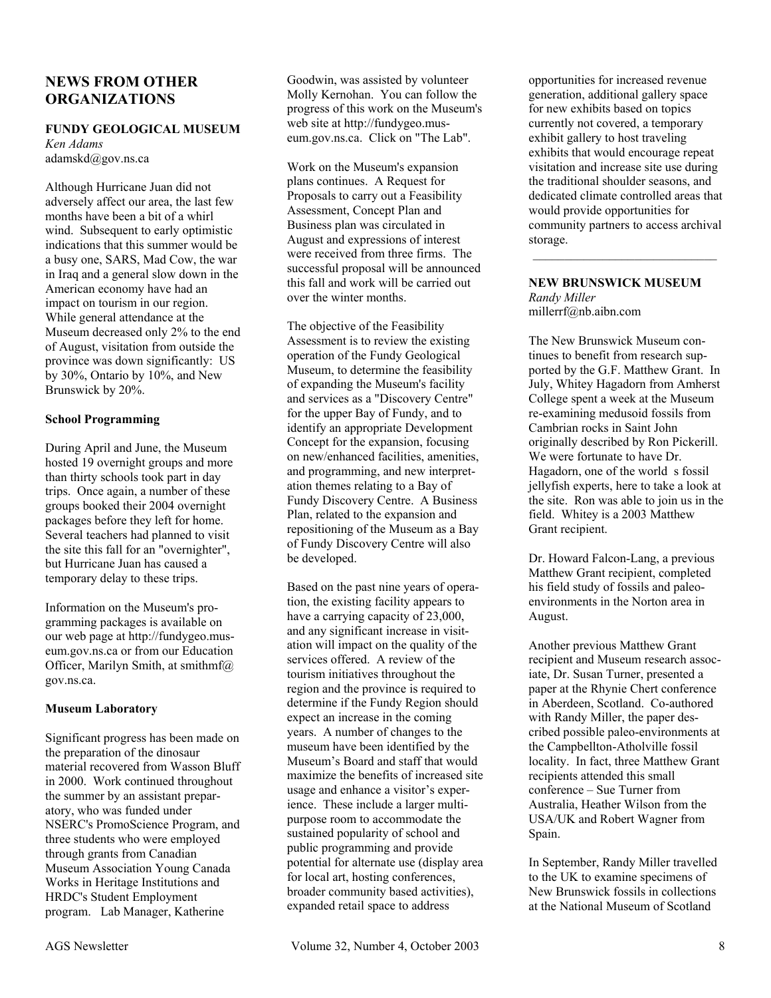# **NEWS FROM OTHER ORGANIZATIONS**

#### **FUNDY GEOLOGICAL MUSEUM**

*Ken Adams*  adamskd@gov.ns.ca

Although Hurricane Juan did not adversely affect our area, the last few months have been a bit of a whirl wind. Subsequent to early optimistic indications that this summer would be a busy one, SARS, Mad Cow, the war in Iraq and a general slow down in the American economy have had an impact on tourism in our region. While general attendance at the Museum decreased only 2% to the end of August, visitation from outside the province was down significantly: US by 30%, Ontario by 10%, and New Brunswick by 20%.

#### **School Programming**

During April and June, the Museum hosted 19 overnight groups and more than thirty schools took part in day trips. Once again, a number of these groups booked their 2004 overnight packages before they left for home. Several teachers had planned to visit the site this fall for an "overnighter", but Hurricane Juan has caused a temporary delay to these trips.

Information on the Museum's programming packages is available on our web page at http://fundygeo.museum.gov.ns.ca or from our Education Officer, Marilyn Smith, at smithmf@ gov.ns.ca.

#### **Museum Laboratory**

Significant progress has been made on the preparation of the dinosaur material recovered from Wasson Bluff in 2000. Work continued throughout the summer by an assistant preparatory, who was funded under NSERC's PromoScience Program, and three students who were employed through grants from Canadian Museum Association Young Canada Works in Heritage Institutions and HRDC's Student Employment program. Lab Manager, Katherine

Goodwin, was assisted by volunteer Molly Kernohan. You can follow the progress of this work on the Museum's web site at http://fundygeo.museum.gov.ns.ca. Click on "The Lab".

Work on the Museum's expansion plans continues. A Request for Proposals to carry out a Feasibility Assessment, Concept Plan and Business plan was circulated in August and expressions of interest were received from three firms. The successful proposal will be announced this fall and work will be carried out over the winter months.

The objective of the Feasibility Assessment is to review the existing operation of the Fundy Geological Museum, to determine the feasibility of expanding the Museum's facility and services as a "Discovery Centre" for the upper Bay of Fundy, and to identify an appropriate Development Concept for the expansion, focusing on new/enhanced facilities, amenities, and programming, and new interpretation themes relating to a Bay of Fundy Discovery Centre. A Business Plan, related to the expansion and repositioning of the Museum as a Bay of Fundy Discovery Centre will also be developed.

Based on the past nine years of operation, the existing facility appears to have a carrying capacity of 23,000, and any significant increase in visitation will impact on the quality of the services offered. A review of the tourism initiatives throughout the region and the province is required to determine if the Fundy Region should expect an increase in the coming years. A number of changes to the museum have been identified by the Museum's Board and staff that would maximize the benefits of increased site usage and enhance a visitor's experience. These include a larger multipurpose room to accommodate the sustained popularity of school and public programming and provide potential for alternate use (display area for local art, hosting conferences, broader community based activities), expanded retail space to address

opportunities for increased revenue generation, additional gallery space for new exhibits based on topics currently not covered, a temporary exhibit gallery to host traveling exhibits that would encourage repeat visitation and increase site use during the traditional shoulder seasons, and dedicated climate controlled areas that would provide opportunities for community partners to access archival storage.

#### **NEW BRUNSWICK MUSEUM**  *Randy Miller*

\_\_\_\_\_\_\_\_\_\_\_\_\_\_\_\_\_\_\_\_\_\_\_\_\_\_\_\_\_

millerrf@nb.aibn.com

The New Brunswick Museum continues to benefit from research supported by the G.F. Matthew Grant. In July, Whitey Hagadorn from Amherst College spent a week at the Museum re-examining medusoid fossils from Cambrian rocks in Saint John originally described by Ron Pickerill. We were fortunate to have Dr. Hagadorn, one of the world s fossil jellyfish experts, here to take a look at the site. Ron was able to join us in the field. Whitey is a 2003 Matthew Grant recipient.

Dr. Howard Falcon-Lang, a previous Matthew Grant recipient, completed his field study of fossils and paleoenvironments in the Norton area in August.

Another previous Matthew Grant recipient and Museum research associate, Dr. Susan Turner, presented a paper at the Rhynie Chert conference in Aberdeen, Scotland. Co-authored with Randy Miller, the paper described possible paleo-environments at the Campbellton-Atholville fossil locality. In fact, three Matthew Grant recipients attended this small conference – Sue Turner from Australia, Heather Wilson from the USA/UK and Robert Wagner from Spain.

In September, Randy Miller travelled to the UK to examine specimens of New Brunswick fossils in collections at the National Museum of Scotland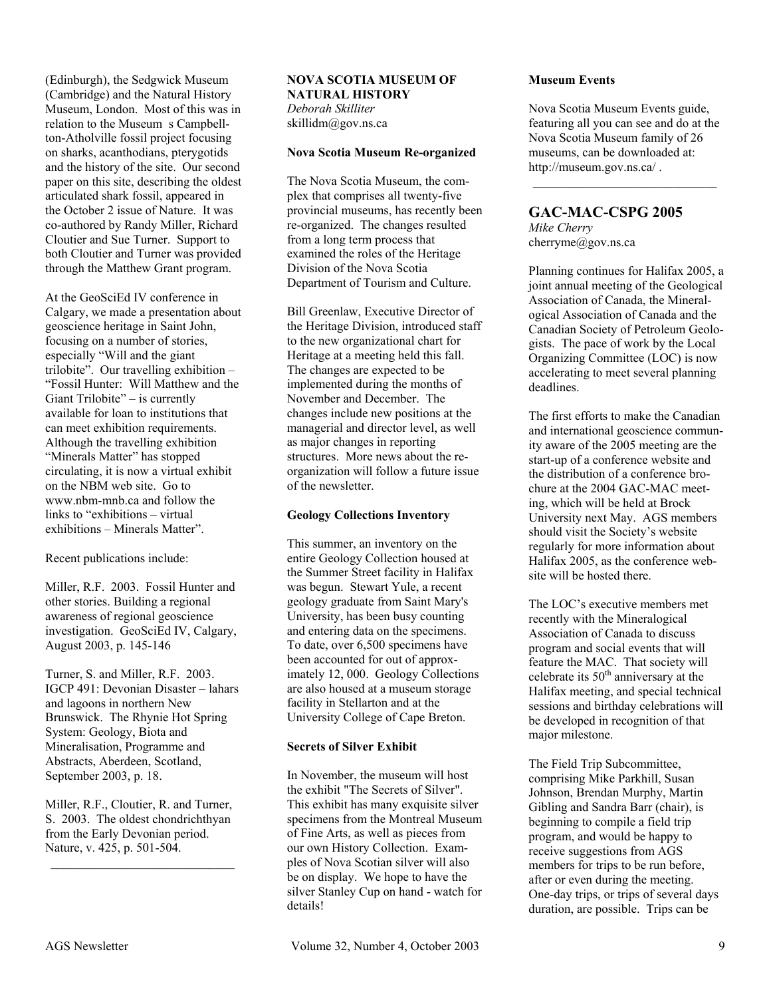(Edinburgh), the Sedgwick Museum (Cambridge) and the Natural History Museum, London. Most of this was in relation to the Museum s Campbellton-Atholville fossil project focusing on sharks, acanthodians, pterygotids and the history of the site. Our second paper on this site, describing the oldest articulated shark fossil, appeared in the October 2 issue of Nature. It was co-authored by Randy Miller, Richard Cloutier and Sue Turner. Support to both Cloutier and Turner was provided through the Matthew Grant program.

At the GeoSciEd IV conference in Calgary, we made a presentation about geoscience heritage in Saint John, focusing on a number of stories, especially "Will and the giant trilobite". Our travelling exhibition – "Fossil Hunter: Will Matthew and the Giant Trilobite" – is currently available for loan to institutions that can meet exhibition requirements. Although the travelling exhibition "Minerals Matter" has stopped circulating, it is now a virtual exhibit on the NBM web site. Go to www.nbm-mnb.ca and follow the links to "exhibitions – virtual exhibitions – Minerals Matter".

Recent publications include:

Miller, R.F. 2003. Fossil Hunter and other stories. Building a regional awareness of regional geoscience investigation. GeoSciEd IV, Calgary, August 2003, p. 145-146

Turner, S. and Miller, R.F. 2003. IGCP 491: Devonian Disaster – lahars and lagoons in northern New Brunswick. The Rhynie Hot Spring System: Geology, Biota and Mineralisation, Programme and Abstracts, Aberdeen, Scotland, September 2003, p. 18.

Miller, R.F., Cloutier, R. and Turner, S. 2003. The oldest chondrichthyan from the Early Devonian period. Nature, v. 425, p. 501-504.

\_\_\_\_\_\_\_\_\_\_\_\_\_\_\_\_\_\_\_\_\_\_\_\_\_\_\_\_\_

#### **NOVA SCOTIA MUSEUM OF NATURAL HISTORY**  *Deborah Skilliter*  skillidm@gov.ns.ca

#### **Nova Scotia Museum Re-organized**

The Nova Scotia Museum, the complex that comprises all twenty-five provincial museums, has recently been re-organized. The changes resulted from a long term process that examined the roles of the Heritage Division of the Nova Scotia Department of Tourism and Culture.

Bill Greenlaw, Executive Director of the Heritage Division, introduced staff to the new organizational chart for Heritage at a meeting held this fall. The changes are expected to be implemented during the months of November and December. The changes include new positions at the managerial and director level, as well as major changes in reporting structures. More news about the reorganization will follow a future issue of the newsletter.

# **Geology Collections Inventory**

This summer, an inventory on the entire Geology Collection housed at the Summer Street facility in Halifax was begun. Stewart Yule, a recent geology graduate from Saint Mary's University, has been busy counting and entering data on the specimens. To date, over 6,500 specimens have been accounted for out of approximately 12, 000. Geology Collections are also housed at a museum storage facility in Stellarton and at the University College of Cape Breton.

# **Secrets of Silver Exhibit**

In November, the museum will host the exhibit "The Secrets of Silver". This exhibit has many exquisite silver specimens from the Montreal Museum of Fine Arts, as well as pieces from our own History Collection. Examples of Nova Scotian silver will also be on display. We hope to have the silver Stanley Cup on hand - watch for details!

#### **Museum Events**

Nova Scotia Museum Events guide, featuring all you can see and do at the Nova Scotia Museum family of 26 museums, can be downloaded at: http://museum.gov.ns.ca/ .

 $\mathcal{L}_\text{max}$ 

# **GAC-MAC-CSPG 2005**

*Mike Cherry*  cherryme@gov.ns.ca

Planning continues for Halifax 2005, a joint annual meeting of the Geological Association of Canada, the Mineralogical Association of Canada and the Canadian Society of Petroleum Geologists. The pace of work by the Local Organizing Committee (LOC) is now accelerating to meet several planning deadlines.

The first efforts to make the Canadian and international geoscience community aware of the 2005 meeting are the start-up of a conference website and the distribution of a conference brochure at the 2004 GAC-MAC meeting, which will be held at Brock University next May. AGS members should visit the Society's website regularly for more information about Halifax 2005, as the conference website will be hosted there.

The LOC's executive members met recently with the Mineralogical Association of Canada to discuss program and social events that will feature the MAC. That society will celebrate its  $50<sup>th</sup>$  anniversary at the Halifax meeting, and special technical sessions and birthday celebrations will be developed in recognition of that major milestone.

The Field Trip Subcommittee, comprising Mike Parkhill, Susan Johnson, Brendan Murphy, Martin Gibling and Sandra Barr (chair), is beginning to compile a field trip program, and would be happy to receive suggestions from AGS members for trips to be run before, after or even during the meeting. One-day trips, or trips of several days duration, are possible. Trips can be